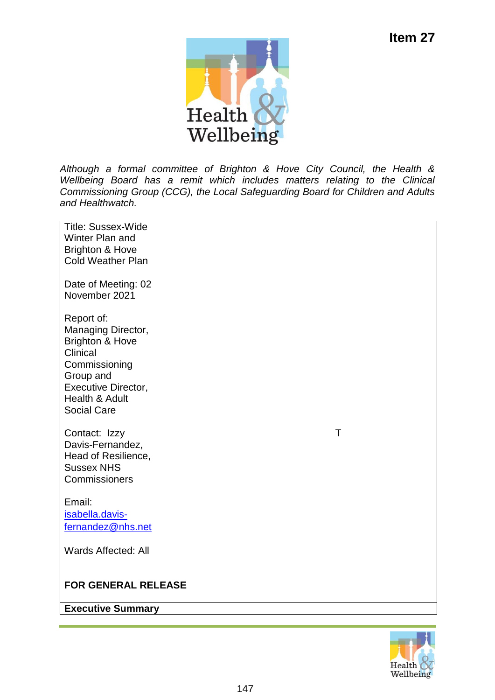

*Although a formal committee of Brighton & Hove City Council, the Health & Wellbeing Board has a remit which includes matters relating to the Clinical Commissioning Group (CCG), the Local Safeguarding Board for Children and Adults and Healthwatch.*

| <b>Title: Sussex-Wide</b>                        |  |  |
|--------------------------------------------------|--|--|
| Winter Plan and<br><b>Brighton &amp; Hove</b>    |  |  |
| <b>Cold Weather Plan</b>                         |  |  |
|                                                  |  |  |
| Date of Meeting: 02                              |  |  |
| November 2021                                    |  |  |
|                                                  |  |  |
| Report of:                                       |  |  |
| Managing Director,<br><b>Brighton &amp; Hove</b> |  |  |
| Clinical                                         |  |  |
| Commissioning                                    |  |  |
| Group and                                        |  |  |
| <b>Executive Director,</b>                       |  |  |
| Health & Adult                                   |  |  |
| <b>Social Care</b>                               |  |  |
| $\top$<br>Contact: Izzy                          |  |  |
| Davis-Fernandez,                                 |  |  |
| Head of Resilience,                              |  |  |
| <b>Sussex NHS</b>                                |  |  |
| Commissioners                                    |  |  |
| Email:                                           |  |  |
| isabella.davis-                                  |  |  |
| fernandez@nhs.net                                |  |  |
|                                                  |  |  |
| Wards Affected: All                              |  |  |
|                                                  |  |  |
| <b>FOR GENERAL RELEASE</b>                       |  |  |
|                                                  |  |  |
| <b>Executive Summary</b>                         |  |  |
|                                                  |  |  |

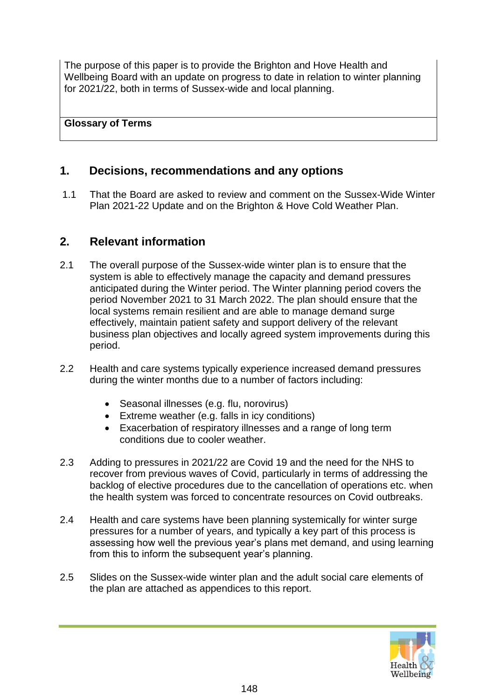The purpose of this paper is to provide the Brighton and Hove Health and Wellbeing Board with an update on progress to date in relation to winter planning for 2021/22, both in terms of Sussex-wide and local planning.

#### **Glossary of Terms**

# **1. Decisions, recommendations and any options**

1.1 That the Board are asked to review and comment on the Sussex-Wide Winter Plan 2021-22 Update and on the Brighton & Hove Cold Weather Plan.

## **2. Relevant information**

- 2.1 The overall purpose of the Sussex-wide winter plan is to ensure that the system is able to effectively manage the capacity and demand pressures anticipated during the Winter period. The Winter planning period covers the period November 2021 to 31 March 2022. The plan should ensure that the local systems remain resilient and are able to manage demand surge effectively, maintain patient safety and support delivery of the relevant business plan objectives and locally agreed system improvements during this period.
- 2.2 Health and care systems typically experience increased demand pressures during the winter months due to a number of factors including:
	- Seasonal illnesses (e.g. flu, norovirus)
	- Extreme weather (e.g. falls in icy conditions)
	- Exacerbation of respiratory illnesses and a range of long term conditions due to cooler weather.
- 2.3 Adding to pressures in 2021/22 are Covid 19 and the need for the NHS to recover from previous waves of Covid, particularly in terms of addressing the backlog of elective procedures due to the cancellation of operations etc. when the health system was forced to concentrate resources on Covid outbreaks.
- 2.4 Health and care systems have been planning systemically for winter surge pressures for a number of years, and typically a key part of this process is assessing how well the previous year's plans met demand, and using learning from this to inform the subsequent year's planning.
- 2.5 Slides on the Sussex-wide winter plan and the adult social care elements of the plan are attached as appendices to this report.

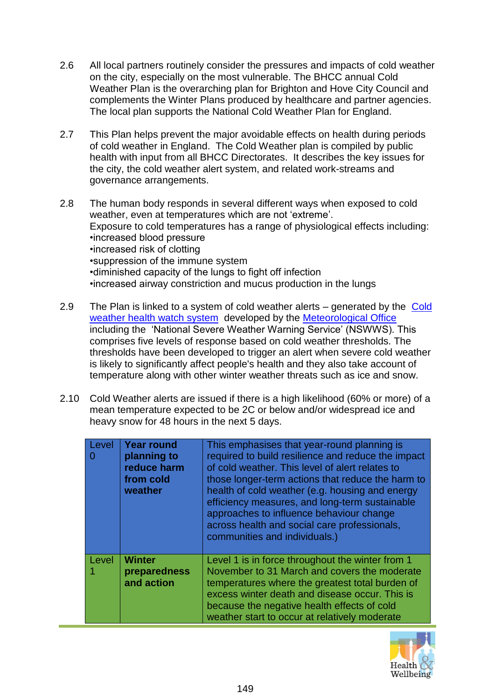- 2.6 All local partners routinely consider the pressures and impacts of cold weather on the city, especially on the most vulnerable. The BHCC annual Cold Weather Plan is the overarching plan for Brighton and Hove City Council and complements the Winter Plans produced by healthcare and partner agencies. The local plan supports the National Cold Weather Plan for England.
- 2.7 This Plan helps prevent the major avoidable effects on health during periods of cold weather in England. The Cold Weather plan is compiled by public health with input from all BHCC Directorates. It describes the key issues for the city, the cold weather alert system, and related work-streams and governance arrangements.
- 2.8 The human body responds in several different ways when exposed to cold weather, even at temperatures which are not 'extreme'. Exposure to cold temperatures has a range of physiological effects including: •increased blood pressure •increased risk of clotting •suppression of the immune system •diminished capacity of the lungs to fight off infection •increased airway constriction and mucus production in the lungs
- 2.9 The Plan is linked to a system of cold weather alerts generated by the Cold [weather health watch system](https://www.metoffice.gov.uk/weather/warnings-and-advice/seasonal-advice/cold-weather-alerts) developed by the [Meteorological Office](https://www.metoffice.gov.uk/) including the 'National Severe Weather Warning Service' (NSWWS). This comprises five levels of response based on cold weather thresholds. The thresholds have been developed to trigger an alert when severe cold weather is likely to significantly affect people's health and they also take account of temperature along with other winter weather threats such as ice and snow.
- 2.10 Cold Weather alerts are issued if there is a high likelihood (60% or more) of a mean temperature expected to be 2C or below and/or widespread ice and heavy snow for 48 hours in the next 5 days.

| Level | <b>Year round</b><br>planning to<br>reduce harm<br>from cold<br>weather | This emphasises that year-round planning is<br>required to build resilience and reduce the impact<br>of cold weather. This level of alert relates to<br>those longer-term actions that reduce the harm to<br>health of cold weather (e.g. housing and energy<br>efficiency measures, and long-term sustainable<br>approaches to influence behaviour change<br>across health and social care professionals,<br>communities and individuals.) |
|-------|-------------------------------------------------------------------------|---------------------------------------------------------------------------------------------------------------------------------------------------------------------------------------------------------------------------------------------------------------------------------------------------------------------------------------------------------------------------------------------------------------------------------------------|
| Level | <b>Winter</b><br>preparedness<br>and action                             | Level 1 is in force throughout the winter from 1<br>November to 31 March and covers the moderate<br>temperatures where the greatest total burden of<br>excess winter death and disease occur. This is<br>because the negative health effects of cold<br>weather start to occur at relatively moderate                                                                                                                                       |

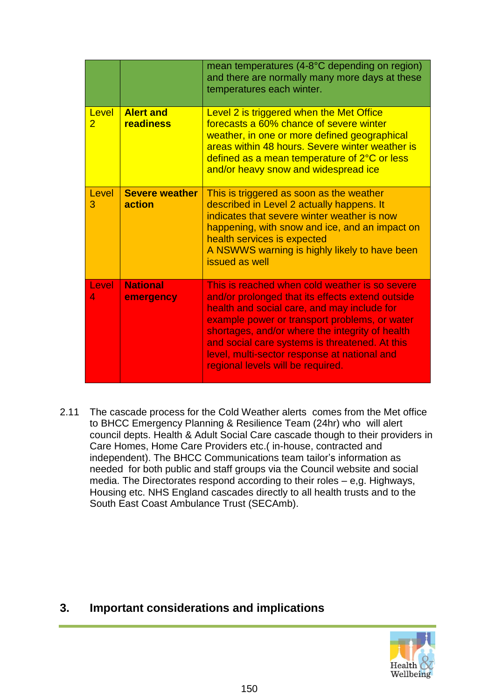|                         |                                 | mean temperatures (4-8°C depending on region)<br>and there are normally many more days at these<br>temperatures each winter.                                                                                                                                                                                                                                                                 |
|-------------------------|---------------------------------|----------------------------------------------------------------------------------------------------------------------------------------------------------------------------------------------------------------------------------------------------------------------------------------------------------------------------------------------------------------------------------------------|
| Level<br>$\overline{2}$ | <b>Alert and</b><br>readiness   | Level 2 is triggered when the Met Office<br>forecasts a 60% chance of severe winter<br>weather, in one or more defined geographical<br>areas within 48 hours. Severe winter weather is<br>defined as a mean temperature of 2°C or less<br>and/or heavy snow and widespread ice                                                                                                               |
| Level<br>3              | <b>Severe weather</b><br>action | This is triggered as soon as the weather<br>described in Level 2 actually happens. It<br>indicates that severe winter weather is now<br>happening, with snow and ice, and an impact on<br>health services is expected<br>A NSWWS warning is highly likely to have been<br>issued as well                                                                                                     |
| Level<br>4              | <b>National</b><br>emergency    | This is reached when cold weather is so severe<br>and/or prolonged that its effects extend outside<br>health and social care, and may include for<br>example power or transport problems, or water<br>shortages, and/or where the integrity of health<br>and social care systems is threatened. At this<br>level, multi-sector response at national and<br>regional levels will be required. |

2.11 The cascade process for the Cold Weather alerts comes from the Met office to BHCC Emergency Planning & Resilience Team (24hr) who will alert council depts. Health & Adult Social Care cascade though to their providers in Care Homes, Home Care Providers etc.( in-house, contracted and independent). The BHCC Communications team tailor's information as needed for both public and staff groups via the Council website and social media. The Directorates respond according to their roles – e,g. Highways, Housing etc. NHS England cascades directly to all health trusts and to the South East Coast Ambulance Trust (SECAmb).

### **3. Important considerations and implications**

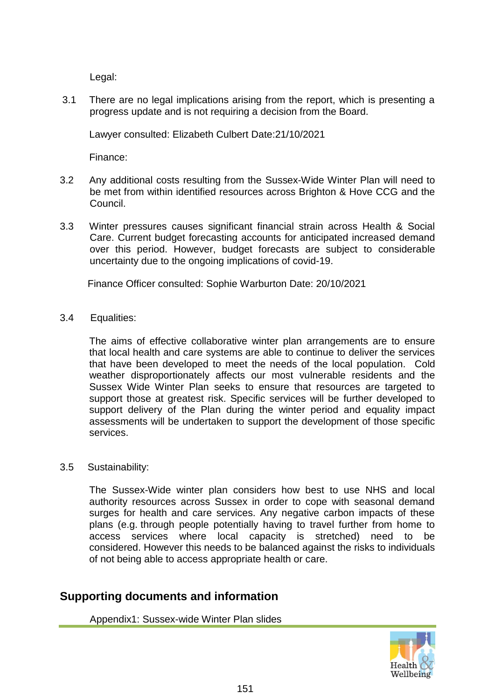Legal:

3.1 There are no legal implications arising from the report, which is presenting a progress update and is not requiring a decision from the Board.

Lawyer consulted: Elizabeth Culbert Date:21/10/2021

Finance:

- 3.2 Any additional costs resulting from the Sussex-Wide Winter Plan will need to be met from within identified resources across Brighton & Hove CCG and the Council.
- 3.3 Winter pressures causes significant financial strain across Health & Social Care. Current budget forecasting accounts for anticipated increased demand over this period. However, budget forecasts are subject to considerable uncertainty due to the ongoing implications of covid-19.

Finance Officer consulted: Sophie Warburton Date: 20/10/2021

3.4 Equalities:

The aims of effective collaborative winter plan arrangements are to ensure that local health and care systems are able to continue to deliver the services that have been developed to meet the needs of the local population. Cold weather disproportionately affects our most vulnerable residents and the Sussex Wide Winter Plan seeks to ensure that resources are targeted to support those at greatest risk. Specific services will be further developed to support delivery of the Plan during the winter period and equality impact assessments will be undertaken to support the development of those specific services.

#### 3.5 Sustainability:

The Sussex-Wide winter plan considers how best to use NHS and local authority resources across Sussex in order to cope with seasonal demand surges for health and care services. Any negative carbon impacts of these plans (e.g. through people potentially having to travel further from home to access services where local capacity is stretched) need to be considered. However this needs to be balanced against the risks to individuals of not being able to access appropriate health or care.

### **Supporting documents and information**

Appendix1: Sussex-wide Winter Plan slides